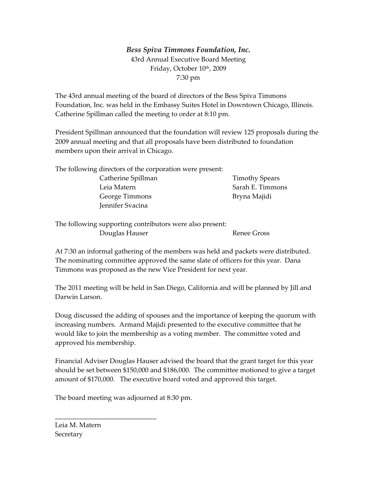## *Bess Spiva Timmons Foundation, Inc.*

43rd Annual Executive Board Meeting Friday, October 10th, 2009 7:30 pm

The 43rd annual meeting of the board of directors of the Bess Spiva Timmons Foundation, Inc. was held in the Embassy Suites Hotel in Downtown Chicago, Illinois. Catherine Spillman called the meeting to order at 8:10 pm.

President Spillman announced that the foundation will review 125 proposals during the 2009 annual meeting and that all proposals have been distributed to foundation members upon their arrival in Chicago.

The following directors of the corporation were present: Catherine Spillman Timothy Spears Leia Matern Sarah E. Timmons George Timmons **Bryna Majidi** Jennifer Svacina

The following supporting contributors were also present: Douglas Hauser **Renee Gross** 

At 7:30 an informal gathering of the members was held and packets were distributed. The nominating committee approved the same slate of officers for this year. Dana Timmons was proposed as the new Vice President for next year.

The 2011 meeting will be held in San Diego, California and will be planned by Jill and Darwin Larson.

Doug discussed the adding of spouses and the importance of keeping the quorum with increasing numbers. Armand Majidi presented to the executive committee that he would like to join the membership as a voting member. The committee voted and approved his membership.

Financial Adviser Douglas Hauser advised the board that the grant target for this year should be set between \$150,000 and \$186,000. The committee motioned to give a target amount of \$170,000. The executive board voted and approved this target.

The board meeting was adjourned at 8:30 pm.

\_\_\_\_\_\_\_\_\_\_\_\_\_\_\_\_\_\_\_\_\_\_\_\_\_\_\_\_\_\_

Leia M. Matern Secretary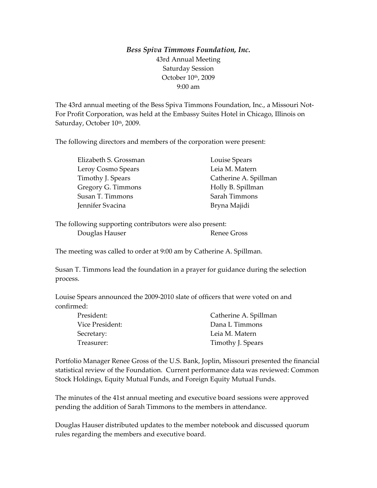# *Bess Spiva Timmons Foundation, Inc.* 43rd Annual Meeting Saturday Session October 10th, 2009 9:00 am

The 43rd annual meeting of the Bess Spiva Timmons Foundation, Inc., a Missouri Not‐ For Profit Corporation, was held at the Embassy Suites Hotel in Chicago, Illinois on Saturday, October 10th, 2009.

The following directors and members of the corporation were present:

| Elizabeth S. Grossman | Louise Spears         |
|-----------------------|-----------------------|
| Leroy Cosmo Spears    | Leia M. Matern        |
| Timothy J. Spears     | Catherine A. Spillman |
| Gregory G. Timmons    | Holly B. Spillman     |
| Susan T. Timmons      | Sarah Timmons         |
| Jennifer Svacina      | Bryna Majidi          |

The following supporting contributors were also present: Douglas Hauser **Renee Gross** 

The meeting was called to order at 9:00 am by Catherine A. Spillman.

Susan T. Timmons lead the foundation in a prayer for guidance during the selection process.

Louise Spears announced the 2009‐2010 slate of officers that were voted on and confirmed:

| Catherine A. Spillman |
|-----------------------|
| Dana L Timmons        |
| Leia M. Matern        |
| Timothy J. Spears     |
|                       |

Portfolio Manager Renee Gross of the U.S. Bank, Joplin, Missouri presented the financial statistical review of the Foundation. Current performance data was reviewed: Common Stock Holdings, Equity Mutual Funds, and Foreign Equity Mutual Funds.

The minutes of the 41st annual meeting and executive board sessions were approved pending the addition of Sarah Timmons to the members in attendance.

Douglas Hauser distributed updates to the member notebook and discussed quorum rules regarding the members and executive board.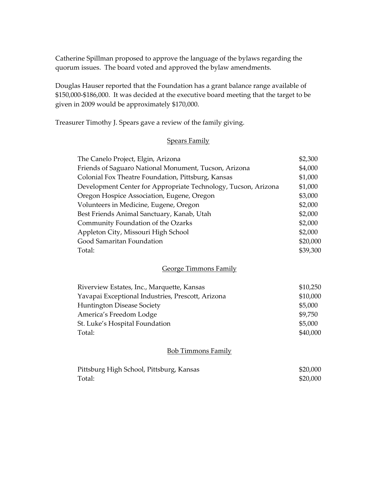Catherine Spillman proposed to approve the language of the bylaws regarding the quorum issues. The board voted and approved the bylaw amendments.

Douglas Hauser reported that the Foundation has a grant balance range available of \$150,000‐\$186,000. It was decided at the executive board meeting that the target to be given in 2009 would be approximately \$170,000.

Treasurer Timothy J. Spears gave a review of the family giving.

#### Spears Family

| The Canelo Project, Elgin, Arizona                             | \$2,300  |
|----------------------------------------------------------------|----------|
| Friends of Saguaro National Monument, Tucson, Arizona          | \$4,000  |
| Colonial Fox Theatre Foundation, Pittsburg, Kansas             | \$1,000  |
| Development Center for Appropriate Technology, Tucson, Arizona | \$1,000  |
| Oregon Hospice Association, Eugene, Oregon                     | \$3,000  |
| Volunteers in Medicine, Eugene, Oregon                         | \$2,000  |
| Best Friends Animal Sanctuary, Kanab, Utah                     | \$2,000  |
| Community Foundation of the Ozarks                             | \$2,000  |
| Appleton City, Missouri High School                            | \$2,000  |
| Good Samaritan Foundation                                      | \$20,000 |
| Total:                                                         | \$39,300 |

## George Timmons Family

| Riverview Estates, Inc., Marquette, Kansas        | \$10,250 |
|---------------------------------------------------|----------|
| Yavapai Exceptional Industries, Prescott, Arizona | \$10,000 |
| <b>Huntington Disease Society</b>                 | \$5,000  |
| America's Freedom Lodge                           | \$9,750  |
| St. Luke's Hospital Foundation                    | \$5,000  |
| Total:                                            | \$40,000 |

## Bob Timmons Family

| Pittsburg High School, Pittsburg, Kansas | \$20,000 |
|------------------------------------------|----------|
| Total:                                   | \$20,000 |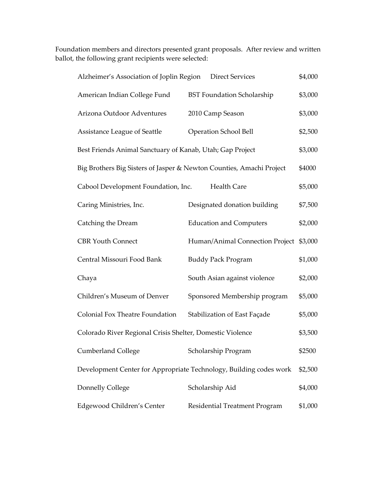Foundation members and directors presented grant proposals. After review and written ballot, the following grant recipients were selected:

| Alzheimer's Association of Joplin Region                             | <b>Direct Services</b>            | \$4,000 |
|----------------------------------------------------------------------|-----------------------------------|---------|
| American Indian College Fund                                         | <b>BST Foundation Scholarship</b> | \$3,000 |
| Arizona Outdoor Adventures                                           | 2010 Camp Season                  | \$3,000 |
| Assistance League of Seattle                                         | Operation School Bell             | \$2,500 |
| Best Friends Animal Sanctuary of Kanab, Utah; Gap Project            |                                   | \$3,000 |
| Big Brothers Big Sisters of Jasper & Newton Counties, Amachi Project |                                   | \$4000  |
| Cabool Development Foundation, Inc.                                  | <b>Health Care</b>                | \$5,000 |
| Caring Ministries, Inc.                                              | Designated donation building      | \$7,500 |
| Catching the Dream                                                   | <b>Education and Computers</b>    | \$2,000 |
| <b>CBR Youth Connect</b>                                             | Human/Animal Connection Project   | \$3,000 |
| Central Missouri Food Bank                                           | <b>Buddy Pack Program</b>         | \$1,000 |
| Chaya                                                                | South Asian against violence      | \$2,000 |
| Children's Museum of Denver                                          | Sponsored Membership program      | \$5,000 |
| Colonial Fox Theatre Foundation                                      | Stabilization of East Façade      | \$5,000 |
| Colorado River Regional Crisis Shelter, Domestic Violence            |                                   | \$3,500 |
| <b>Cumberland College</b>                                            | Scholarship Program               | \$2500  |
| Development Center for Appropriate Technology, Building codes work   |                                   | \$2,500 |
| Donnelly College                                                     | Scholarship Aid                   | \$4,000 |
| Edgewood Children's Center                                           | Residential Treatment Program     | \$1,000 |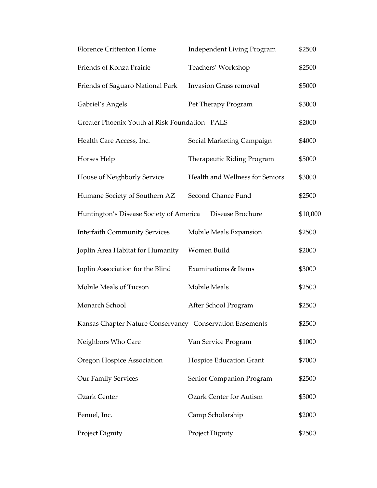| <b>Florence Crittenton Home</b>                          | <b>Independent Living Program</b> | \$2500   |
|----------------------------------------------------------|-----------------------------------|----------|
| Friends of Konza Prairie                                 | Teachers' Workshop                | \$2500   |
| Friends of Saguaro National Park                         | <b>Invasion Grass removal</b>     | \$5000   |
| Gabriel's Angels                                         | Pet Therapy Program               | \$3000   |
| Greater Phoenix Youth at Risk Foundation PALS            |                                   | \$2000   |
| Health Care Access, Inc.                                 | Social Marketing Campaign         | \$4000   |
| Horses Help                                              | Therapeutic Riding Program        | \$5000   |
| House of Neighborly Service                              | Health and Wellness for Seniors   | \$3000   |
| Humane Society of Southern AZ                            | Second Chance Fund                | \$2500   |
| Huntington's Disease Society of America                  | Disease Brochure                  | \$10,000 |
| <b>Interfaith Community Services</b>                     | Mobile Meals Expansion            | \$2500   |
| Joplin Area Habitat for Humanity                         | Women Build                       | \$2000   |
| Joplin Association for the Blind                         | Examinations & Items              | \$3000   |
| Mobile Meals of Tucson                                   | Mobile Meals                      | \$2500   |
| Monarch School                                           | After School Program              | \$2500   |
| Kansas Chapter Nature Conservancy Conservation Easements |                                   | \$2500   |
| Neighbors Who Care                                       | Van Service Program               | \$1000   |
| Oregon Hospice Association                               | <b>Hospice Education Grant</b>    | \$7000   |
| <b>Our Family Services</b>                               | Senior Companion Program          | \$2500   |
| Ozark Center                                             | <b>Ozark Center for Autism</b>    | \$5000   |
| Penuel, Inc.                                             | Camp Scholarship                  | \$2000   |
| Project Dignity                                          | Project Dignity                   | \$2500   |